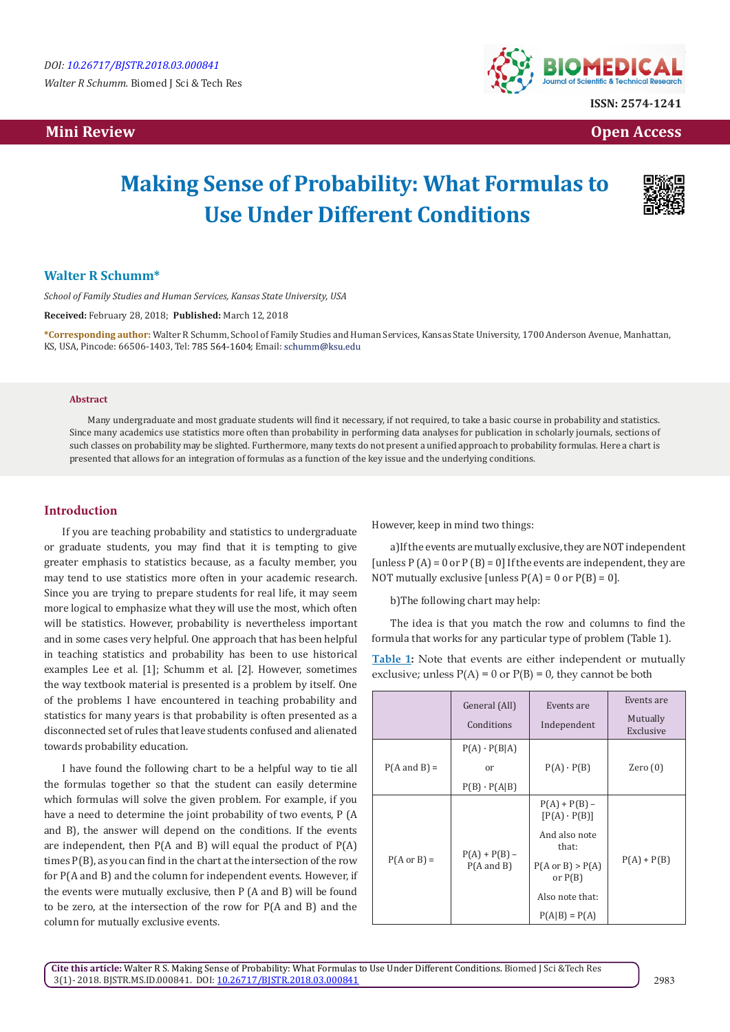*Walter R Schumm.* Biomed J Sci & Tech Res

## **Mini Review Open Access**



**ISSN: 2574-1241**

# **Making Sense of Probability: What Formulas to Use Under Different Conditions**



## **Walter R Schumm\***

*School of Family Studies and Human Services, Kansas State University, USA*

**Received:** February 28, 2018; **Published:** March 12, 2018

**\*Corresponding author:** Walter R Schumm, School of Family Studies and Human Services, Kansas State University, 1700 Anderson Avenue, Manhattan, KS, USA, Pincode: 66506-1403, Tel: 785 564-1604; Email: schumm@ksu.edu

#### **Abstract**

Many undergraduate and most graduate students will find it necessary, if not required, to take a basic course in probability and statistics. Since many academics use statistics more often than probability in performing data analyses for publication in scholarly journals, sections of such classes on probability may be slighted. Furthermore, many texts do not present a unified approach to probability formulas. Here a chart is presented that allows for an integration of formulas as a function of the key issue and the underlying conditions.

#### **Introduction**

If you are teaching probability and statistics to undergraduate or graduate students, you may find that it is tempting to give greater emphasis to statistics because, as a faculty member, you may tend to use statistics more often in your academic research. Since you are trying to prepare students for real life, it may seem more logical to emphasize what they will use the most, which often will be statistics. However, probability is nevertheless important and in some cases very helpful. One approach that has been helpful in teaching statistics and probability has been to use historical examples Lee et al. [1]; Schumm et al. [2]. However, sometimes the way textbook material is presented is a problem by itself. One of the problems I have encountered in teaching probability and statistics for many years is that probability is often presented as a disconnected set of rules that leave students confused and alienated towards probability education.

I have found the following chart to be a helpful way to tie all the formulas together so that the student can easily determine which formulas will solve the given problem. For example, if you have a need to determine the joint probability of two events, P (A and B), the answer will depend on the conditions. If the events are independent, then P(A and B) will equal the product of P(A) times P(B), as you can find in the chart at the intersection of the row for P(A and B) and the column for independent events. However, if the events were mutually exclusive, then P (A and B) will be found to be zero, at the intersection of the row for P(A and B) and the column for mutually exclusive events.

However, keep in mind two things:

a)If the events are mutually exclusive, they are NOT independent [unless  $P(A) = 0$  or  $P(B) = 0$ ] If the events are independent, they are NOT mutually exclusive [unless  $P(A) = 0$  or  $P(B) = 0$ ].

b)The following chart may help:

The idea is that you match the row and columns to find the formula that works for any particular type of problem (Table 1).

|  |  |  | <b>Table 1:</b> Note that events are either independent or mutually |  |  |
|--|--|--|---------------------------------------------------------------------|--|--|
|  |  |  | exclusive; unless $P(A) = 0$ or $P(B) = 0$ , they cannot be both    |  |  |

|                         | General (All)<br>Conditions                      | Events are<br>Independent                                                                                                                          | Events are<br>Mutually<br>Exclusive |
|-------------------------|--------------------------------------------------|----------------------------------------------------------------------------------------------------------------------------------------------------|-------------------------------------|
| $P(A \text{ and } B) =$ | $P(A) \cdot P(B A)$<br>or<br>$P(B) \cdot P(A B)$ | $P(A) \cdot P(B)$                                                                                                                                  | Zero $(0)$                          |
| $P(A \text{ or } B) =$  | $P(A) + P(B) -$<br>$P(A \text{ and } B)$         | $P(A) + P(B) -$<br>$[P(A) \cdot P(B)]$<br>And also note<br>that:<br>$P(A \text{ or } B) > P(A)$<br>or $P(B)$<br>Also note that:<br>$P(A B) = P(A)$ | $P(A) + P(B)$                       |